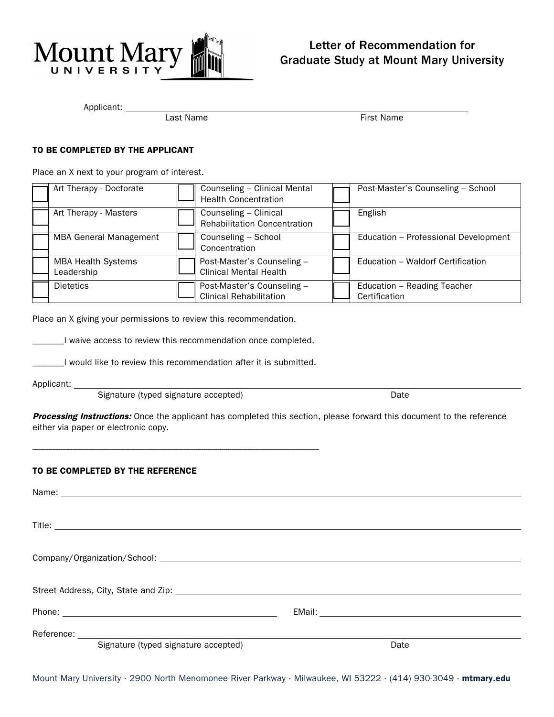

# Letter of Recommendation for Graduate Study at Mount Mary University

Applicant: \_\_

Last Name **First Name** 

## TO BE COMPLETED BY THE APPLICANT

Place an X next to your program of interest.

|                  | Art Therapy - Doctorate       | Counseling - Clinical Mental<br><b>Health Concentration</b>  | Post-Master's Counseling - School            |
|------------------|-------------------------------|--------------------------------------------------------------|----------------------------------------------|
|                  | Art Therapy - Masters         | Counseling - Clinical<br><b>Rehabilitation Concentration</b> | English                                      |
|                  | <b>MBA General Management</b> | Counseling - School<br>Concentration                         | Education - Professional Development         |
| Leadership       | <b>MBA Health Systems</b>     | Post-Master's Counseling -<br><b>Clinical Mental Health</b>  | Education - Waldorf Certification            |
| <b>Dietetics</b> |                               | Post-Master's Counseling -<br><b>Clinical Rehabilitation</b> | Education - Reading Teacher<br>Certification |

Place an X giving your permissions to review this recommendation.

\_\_I waive access to review this recommendation once completed.

\_\_\_\_\_\_\_I would like to review this recommendation after it is submitted.

Applicant: \_\_

Signature (typed signature accepted) Date

------------------------------------------------------------------------------------------------------------------------------------------------

Processing Instructions: Once the applicant has completed this section, please forward this document to the reference either via paper or electronic copy.

# TO BE COMPLETED BY THE REFERENCE

| Signature (typed signature accepted) | Date |
|--------------------------------------|------|

Mount Mary University ⋅ 2900 North Menomonee River Parkway ⋅ Milwaukee, WI 53222 ⋅ (414) 930-3049 ⋅ mtmary.edu